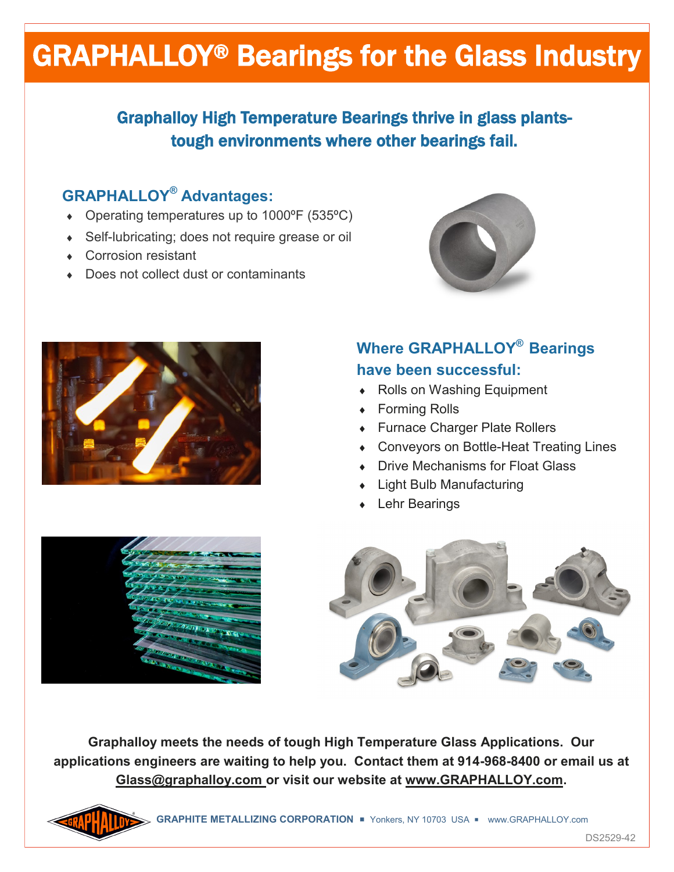# GRAPHALLOY® Bearings for the Glass Industry

## Graphalloy High Temperature Bearings thrive in glass plantstough environments where other bearings fail.

#### **GRAPHALLOY® Advantages:**

- Operating temperatures up to 1000ºF (535ºC)
- ◆ Self-lubricating; does not require grease or oil
- Corrosion resistant
- ◆ Does not collect dust or contaminants





### **Where GRAPHALLOY® Bearings have been successful:**

- ◆ Rolls on Washing Equipment
- Forming Rolls
- Furnace Charger Plate Rollers
- Conveyors on Bottle-Heat Treating Lines
- Drive Mechanisms for Float Glass
- Light Bulb Manufacturing
- Lehr Bearings





**Graphalloy meets the needs of tough High Temperature Glass Applications. Our applications engineers are waiting to help you. Contact them at 914-968-8400 or email us at Glass@graphalloy.com or visit our website at www.GRAPHALLOY.com.**